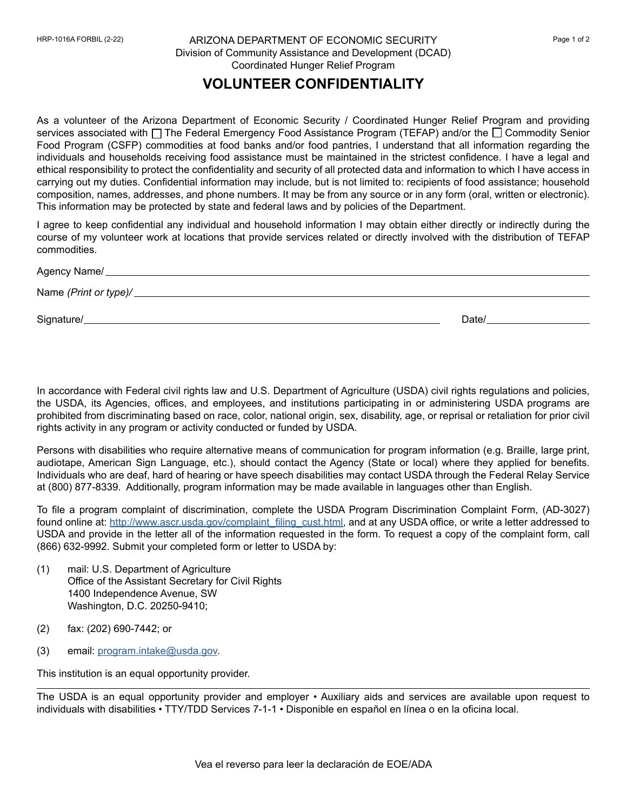## ARIZONA DEPARTMENT OF ECONOMIC SECURITY HRP-1016A FORBIL (2-22) Page 1 of 2 Division of Community Assistance and Development (DCAD) Coordinated Hunger Relief Program

## **VOLUNTEER CONFIDENTIALITY**

As a volunteer of the Arizona Department of Economic Security / Coordinated Hunger Relief Program and providing services associated with  $\square$  The Federal Emergency Food Assistance Program (TEFAP) and/or the  $\square$  Commodity Senior Food Program (CSFP) commodities at food banks and/or food pantries, I understand that all information regarding the individuals and households receiving food assistance must be maintained in the strictest confidence. I have a legal and ethical responsibility to protect the confidentiality and security of all protected data and information to which I have access in carrying out my duties. Confidential information may include, but is not limited to: recipients of food assistance; household composition, names, addresses, and phone numbers. It may be from any source or in any form (oral, written or electronic). This information may be protected by state and federal laws and by policies of the Department.

I agree to keep confidential any individual and household information I may obtain either directly or indirectly during the course of my volunteer work at locations that provide services related or directly involved with the distribution of TEFAP commodities.

| Agency Name/          |       |
|-----------------------|-------|
| Name (Print or type)/ |       |
|                       |       |
| Signature/            | Date/ |

In accordance with Federal civil rights law and U.S. Department of Agriculture (USDA) civil rights regulations and policies, the USDA, its Agencies, offices, and employees, and institutions participating in or administering USDA programs are prohibited from discriminating based on race, color, national origin, sex, disability, age, or reprisal or retaliation for prior civil rights activity in any program or activity conducted or funded by USDA.

Persons with disabilities who require alternative means of communication for program information (e.g. Braille, large print, audiotape, American Sign Language, etc.), should contact the Agency (State or local) where they applied for benefits. Individuals who are deaf, hard of hearing or have speech disabilities may contact USDA through the Federal Relay Service at (800) 877-8339. Additionally, program information may be made available in languages other than English.

To file a program complaint of discrimination, complete the USDA Program Discrimination Complaint Form, (AD-3027) found online at: [http://www.ascr.usda.gov/complaint\\_filing\\_cust.html](http://www.ascr.usda.gov/complaint_filing_cust.html), and at any USDA office, or write a letter addressed to USDA and provide in the letter all of the information requested in the form. To request a copy of the complaint form, call (866) 632-9992. Submit your completed form or letter to USDA by:

- (1) mail: U.S. Department of Agriculture Office of the Assistant Secretary for Civil Rights 1400 Independence Avenue, SW Washington, D.C. 20250-9410;
- (2) fax: (202) 690-7442; or
- (3) email: [program.intake@usda.gov](mailto:program.intake%40usda.gov?subject=).

This institution is an equal opportunity provider.

The USDA is an equal opportunity provider and employer • Auxiliary aids and services are available upon request to individuals with disabilities • TTY/TDD Services 7-1-1 • Disponible en español en línea o en la oficina local.